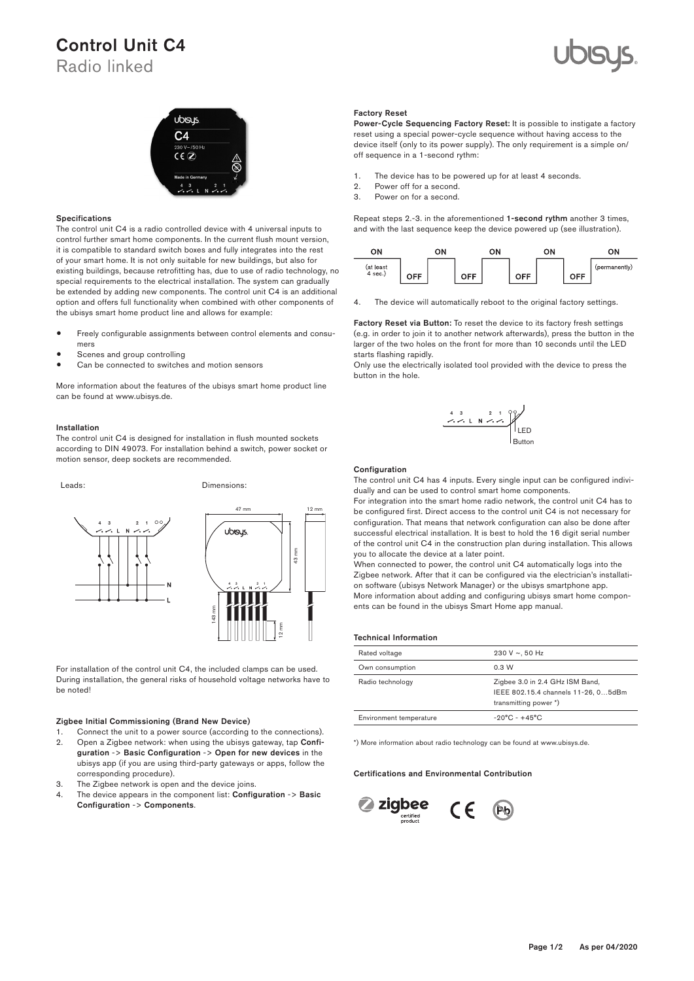# Control Unit C4

Radio linked





#### Specifications

The control unit C4 is a radio controlled device with 4 universal inputs to 2 1 control further smart home components. In the current flush mount version, it is compatible to standard switch boxes and fully integrates into the rest of your smart home. It is not only suitable for new buildings, but also for existing buildings, because retrofitting has, due to use of radio technology, no special requirements to the electrical installation. The system can gradually be extended by adding new components. The control unit C4 is an additional option and offers full functionality when combined with other components of the ubisys smart home product line and allows for example:

- Freely configurable assignments between control elements and consu-2 1 2 1 mers
- Scenes and group controlling
- Scenes and group controlling<br>• Can be connected to switches and motion sensors

More information about the features of the ubisys smart home product line can be found at www.ubisys.de.

#### Installation

The control unit C4 is designed for installation in flush mounted sockets according to DIN 49073. For installation behind a switch, power socket or motion sensor, deep sockets are recommended.



For installation of the control unit C4, the included clamps can be used. During installation, the general risks of household voltage networks have to be noted!

# Zigbee Initial Commissioning (Brand New Device)

- 1. Connect the unit to a power source (according to the connections).
- 2. Open a Zigbee network: when using the ubisys gateway, tap Configuration -> Basic Configuration -> Open for new devices in the ubisys app (if you are using third-party gateways or apps, follow the corresponding procedure).
	- corresponaing proceaure).<br>3. The Zigbee network is open and the device joins.
	- 4. The device appears in the component list: Configuration -> Basic<br>Configuration > Components Configuration -> Components.

#### Factory Reset

Power-Cycle Sequencing Factory Reset: It is possible to instigate a factory reset using a special power-cycle sequence without having access to the device itself (only to its power supply). The only requirement is a simple on/ off sequence in a 1-second rythm:

- 1. The device has to be powered up for at least 4 seconds.  $\mathbf{1}$
- 2. Power off for a second.  $\overline{\mathbf{a}}$
- 2. Fower on for a second.<br>3. Power on for a second.

Repeat steps 2.-3. in the aforementioned 1-second rythm another 3 times, and with the last sequence keep the device powered up (see illustration).



4. The device will automatically reboot to the original factory settings.

Factory Reset via Button: To reset the device to its factory fresh settings (e.g. in order to join it to another network afterwards), press the button in the larger of the two holes on the front for more than 10 seconds until the LED starts flashing rapidly. Router R0

starts nashing rapidly.<br>Only use the electrically isolated tool provided with the device to press the button in the hole.



#### **Configuration**

The control unit C4 has 4 inputs. Every single input can be configured individually and can be used to control smart home components.

For integration into the smart home radio network, the control unit C4 has to be configured first. Direct access to the control unit C4 is not necessary for configuration. That means that network configuration can also be done after successful electrical installation. It is best to hold the 16 digit serial number of the control unit C4 in the construction plan during installation. This allows you to allocate the device at a later point.

When connected to power, the control unit C4 automatically logs into the Zigbee network. After that it can be configured via the electrician's installation software (ubisys Network Manager) or the ubisys smartphone app. More information about adding and configuring ubisys smart home components can be found in the ubisys Smart Home app manual.

#### Technical Information

| Rated voltage           | 230 V $\sim$ , 50 Hz                                                                            |
|-------------------------|-------------------------------------------------------------------------------------------------|
| Own consumption         | 0.3 W                                                                                           |
| Radio technology        | Zigbee 3.0 in 2.4 GHz ISM Band,<br>IEEE 802.15.4 channels 11-26, 05dBm<br>transmitting power *) |
| Environment temperature | $-20^{\circ}$ C - $+45^{\circ}$ C                                                               |

\*) More information about radio technology can be found at www.ubisys.de.

### Certifications and Environmental Contribution